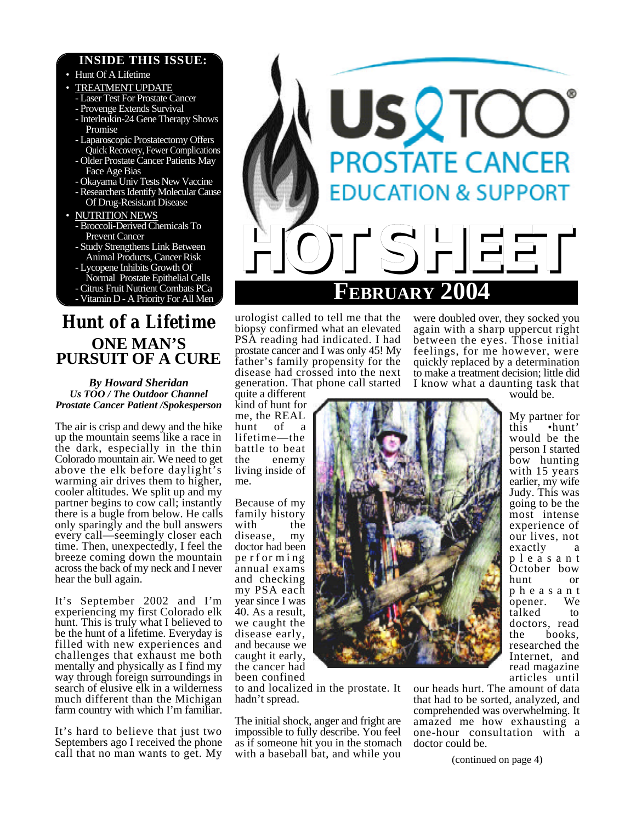## **INSIDE THIS ISSUE:**

• Hunt Of A Lifetime **TREATMENT UPDATE** - Laser Test For Prostate Cancer - Provenge Extends Survival - Interleukin-24 Gene Therapy Shows Promise - Laparoscopic Prostatectomy Offers Quick Recovery, Fewer Complications - Older Prostate Cancer Patients May Face Age Bias - Okayama Univ Tests New Vaccine - Researchers Identify Molecular Cause Of Drug-Resistant Disease • NUTRITION NEWS - Broccoli-Derived Chemicals To Prevent Cancer - Study Strengthens Link Between Animal Products, Cancer Risk - Lycopene Inhibits Growth Of Normal Prostate Epithelial Cells - Citrus Fruit Nutrient Combats PCa - Vitamin D - A Priority For All Men

# *Hunt of a Lifetime* **ONE MAN'S PURSUIT OF A CURE**

*By Howard Sheridan Us TOO / The Outdoor Channel Prostate Cancer Patient /Spokesperson*

The air is crisp and dewy and the hike up the mountain seems like a race in the dark, especially in the thin Colorado mountain air. We need to get above the elk before daylight's warming air drives them to higher, cooler altitudes. We split up and my partner begins to cow call; instantly there is a bugle from below. He calls only sparingly and the bull answers every call—seemingly closer each time. Then, unexpectedly, I feel the breeze coming down the mountain across the back of my neck and I never hear the bull again.

It's September 2002 and I'm experiencing my first Colorado elk hunt. This is truly what I believed to be the hunt of a lifetime. Everyday is filled with new experiences and challenges that exhaust me both mentally and physically as I find my way through foreign surroundings in search of elusive elk in a wilderness much different than the Michigan farm country with which I'm familiar.

It's hard to believe that just two Septembers ago I received the phone



urologist called to tell me that the biopsy confirmed what an elevated PSA reading had indicated. I had prostate cancer and I was only 45! My father's family propensity for the disease had crossed into the next generation. That phone call started

quite a different kind of hunt for me, the REAL hunt of a lifetime—the battle to beat the enemy living inside of me.

Because of my family history with the disease, my doctor had been pe r f or m i ng annual exams and checking my PSA each year since I was 40. As a result, we caught the disease early, and because we caught it early, the cancer had been confined

to and localized in the prostate. It hadn't spread.

call that no man wants to get. My with a baseball bat, and while you  $\frac{\text{continued on page 4}}{\text{continued on page 4}}$ The initial shock, anger and fright are impossible to fully describe. You feel as if someone hit you in the stomach with a baseball bat, and while you

were doubled over, they socked you again with a sharp uppercut right between the eyes. Those initial feelings, for me however, were quickly replaced by a determination to make a treatment decision; little did I know what a daunting task that

would be.

My partner for this •hunt' would be the person I started bow hunting with 15 years earlier, my wife Judy. This was going to be the most intense experience of our lives, not exactly a p l e a s a n t October bow hunt or p h e a s a n t opener. We talked to doctors, read the books, researched the Internet, and read magazine articles until

our heads hurt. The amount of data that had to be sorted, analyzed, and comprehended was overwhelming. It amazed me how exhausting a one-hour consultation with a doctor could be.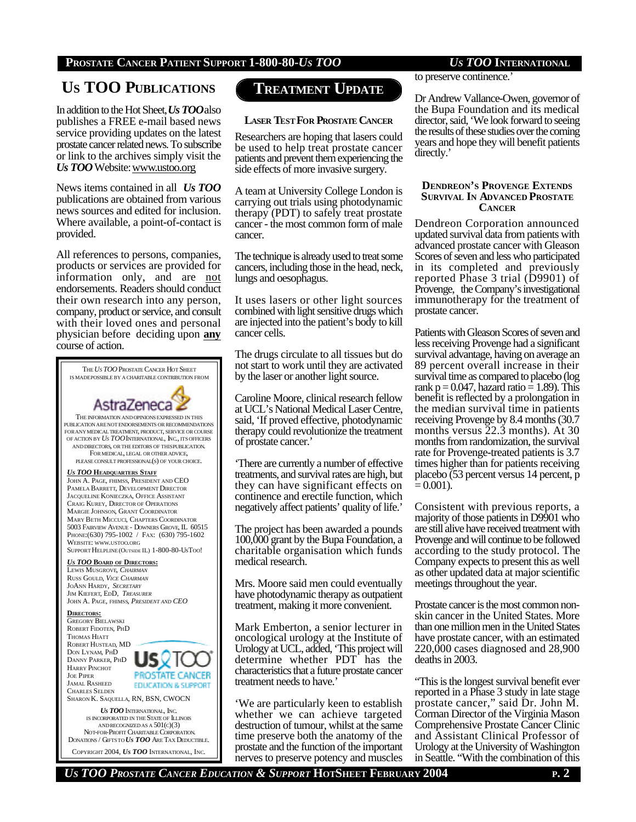# **US TOO PUBLICATIONS**

In addition to the Hot Sheet, *Us TOO*also publishes a FREE e-mail based news service providing updates on the latest prostate cancer related news. To subscribe or link to the archives simply visit the *Us TOO* Website: www.ustoo.org

News items contained in all *Us TOO* publications are obtained from various news sources and edited for inclusion. Where available, a point-of-contact is provided.

All references to persons, companies, products or services are provided for information only, and are not endorsements. Readers should conduct their own research into any person, company, product or service, and consult with their loved ones and personal physician before deciding upon **any** course of action.



# **TREATMENT UPDATE**

### **LASER TEST FOR PROSTATE CANCER**

Researchers are hoping that lasers could be used to help treat prostate cancer patients and prevent them experiencing the side effects of more invasive surgery.

A team at University College London is carrying out trials using photodynamic therapy (PDT) to safely treat prostate cancer - the most common form of male cancer.

The technique is already used to treat some cancers, including those in the head, neck, lungs and oesophagus.

It uses lasers or other light sources combined with light sensitive drugs which are injected into the patient's body to kill cancer cells.

The drugs circulate to all tissues but do not start to work until they are activated by the laser or another light source.

Caroline Moore, clinical research fellow at UCL's National Medical Laser Centre, said, 'If proved effective, photodynamic therapy could revolutionize the treatment of prostate cancer.'

'There are currently a number of effective treatments, and survival rates are high, but they can have significant effects on continence and erectile function, which negatively affect patients' quality of life.'

The project has been awarded a pounds 100,000 grant by the Bupa Foundation, a charitable organisation which funds medical research.

Mrs. Moore said men could eventually have photodynamic therapy as outpatient treatment, making it more convenient.

Mark Emberton, a senior lecturer in oncological urology at the Institute of Urology at UCL, added, 'This project will determine whether PDT has the characteristics that a future prostate cancer treatment needs to have.'

'We are particularly keen to establish whether we can achieve targeted destruction of tumour, whilst at the same time preserve both the anatomy of the prostate and the function of the important nerves to preserve potency and muscles

to preserve continence.'

Dr Andrew Vallance-Owen, governor of the Bupa Foundation and its medical director, said, 'We look forward to seeing the results of these studies over the coming years and hope they will benefit patients directly.'

### **DENDREON'S PROVENGE EXTENDS SURVIVAL IN ADVANCED PROSTATE CANCER**

Dendreon Corporation announced updated survival data from patients with advanced prostate cancer with Gleason Scores of seven and less who participated in its completed and previously reported Phase 3 trial (D9901) of Provenge, the Company's investigational immunotherapy for the treatment of prostate cancer.

Patients with Gleason Scores of seven and less receiving Provenge had a significant survival advantage, having on average an 89 percent overall increase in their survival time as compared to placebo (log rank p =  $0.047$ , hazard ratio = 1.89). This benefit is reflected by a prolongation in the median survival time in patients receiving Provenge by 8.4 months (30.7 months versus 22.3 months). At 30 months from randomization, the survival rate for Provenge-treated patients is 3.7 times higher than for patients receiving placebo (53 percent versus 14 percent, p  $= 0.001$ ).

Consistent with previous reports, a majority of those patients in D9901 who are still alive have received treatment with Provenge and will continue to be followed according to the study protocol. The Company expects to present this as well as other updated data at major scientific meetings throughout the year.

Prostate cancer is the most common nonskin cancer in the United States. More than one million men in the United States have prostate cancer, with an estimated 220,000 cases diagnosed and 28,900 deaths in 2003.

"This is the longest survival benefit ever reported in a Phase 3 study in late stage prostate cancer," said Dr. John M. Corman Director of the Virginia Mason Comprehensive Prostate Cancer Clinic and Assistant Clinical Professor of Urology at the University of Washington in Seattle. "With the combination of this

*US TOO PROSTATE CANCER EDUCATION & SUPPORT* **HOTSHEET FEBRUARY 2004 P. 2**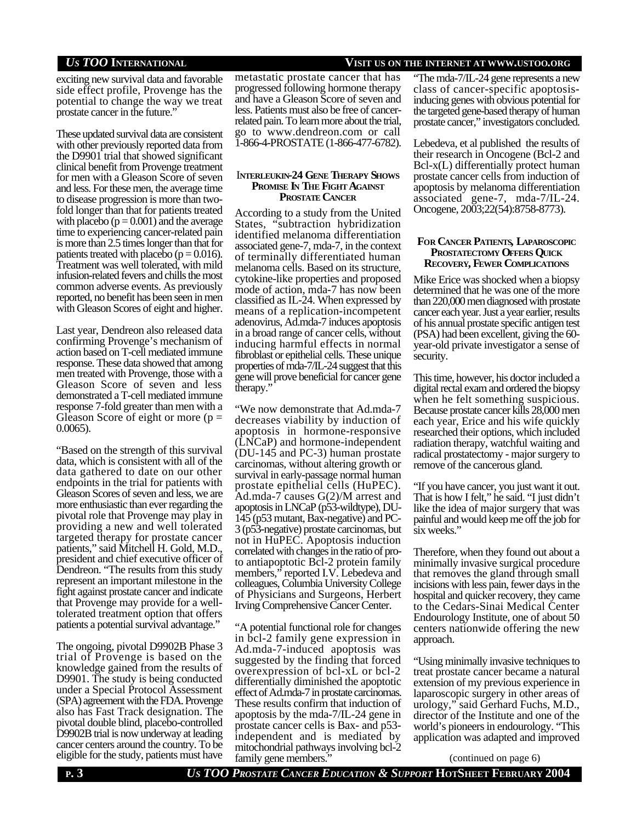## *US TOO* **INTERNATIONAL VISIT US ON THE INTERNET AT WWW.USTOO.ORG**

exciting new survival data and favorable side effect profile, Provenge has the potential to change the way we treat prostate cancer in the future."

These updated survival data are consistent with other previously reported data from the D9901 trial that showed significant clinical benefit from Provenge treatment for men with a Gleason Score of seven and less. For these men, the average time to disease progression is more than twofold longer than that for patients treated with placebo  $(p = 0.001)$  and the average time to experiencing cancer-related pain is more than 2.5 times longer than that for patients treated with placebo ( $p = 0.016$ ). Treatment was well tolerated, with mild infusion-related fevers and chills the most common adverse events. As previously reported, no benefit has been seen in men with Gleason Scores of eight and higher.

Last year, Dendreon also released data confirming Provenge's mechanism of action based on T-cell mediated immune response. These data showed that among men treated with Provenge, those with a Gleason Score of seven and less demonstrated a T-cell mediated immune response 7-fold greater than men with a Gleason Score of eight or more ( $p =$ 0.0065).

"Based on the strength of this survival data, which is consistent with all of the data gathered to date on our other endpoints in the trial for patients with Gleason Scores of seven and less, we are more enthusiastic than ever regarding the pivotal role that Provenge may play in providing a new and well tolerated targeted therapy for prostate cancer patients," said Mitchell H. Gold, M.D., president and chief executive officer of Dendreon. "The results from this study represent an important milestone in the fight against prostate cancer and indicate that Provenge may provide for a welltolerated treatment option that offers patients a potential survival advantage."

The ongoing, pivotal D9902B Phase 3 trial of Provenge is based on the knowledge gained from the results of D9901. The study is being conducted under a Special Protocol Assessment (SPA) agreement with the FDA. Provenge also has Fast Track designation. The pivotal double blind, placebo-controlled D9902B trial is now underway at leading cancer centers around the country. To be eligible for the study, patients must have

metastatic prostate cancer that has progressed following hormone therapy and have a Gleason Score of seven and less. Patients must also be free of cancerrelated pain. To learn more about the trial, go to www.dendreon.com or call 1-866-4-PROSTATE (1-866-477-6782).

### I**NTERLEUKIN-24 GENE THERAPY SHOWS PROMISE IN THE FIGHT AGAINST PROSTATE CANCER**

According to a study from the United States, "subtraction hybridization identified melanoma differentiation associated gene-7, mda-7, in the context of terminally differentiated human melanoma cells. Based on its structure, cytokine-like properties and proposed mode of action, mda-7 has now been classified as IL-24. When expressed by means of a replication-incompetent adenovirus, Ad.mda-7 induces apoptosis in a broad range of cancer cells, without inducing harmful effects in normal fibroblast or epithelial cells. These unique properties of mda-7/IL-24 suggest that this gene will prove beneficial for cancer gene therapy."

"We now demonstrate that Ad.mda-7 decreases viability by induction of apoptosis in hormone-responsive (LNCaP) and hormone-independent (DU-145 and PC-3) human prostate carcinomas, without altering growth or survival in early-passage normal human prostate epithelial cells (HuPEC). Ad.mda-7 causes G(2)/M arrest and apoptosis in LNCaP (p53-wildtype), DU-145 (p53 mutant, Bax-negative) and PC-3 (p53-negative) prostate carcinomas, but not in HuPEC. Apoptosis induction correlated with changes in the ratio of proto antiapoptotic Bcl-2 protein family members," reported I.V. Lebedeva and colleagues, Columbia University College of Physicians and Surgeons, Herbert Irving Comprehensive Cancer Center.

"A potential functional role for changes in bcl-2 family gene expression in Ad.mda-7-induced apoptosis was suggested by the finding that forced overexpression of bcl-xL or bcl-2 differentially diminished the apoptotic effect of Ad.mda-7 in prostate carcinomas. These results confirm that induction of apoptosis by the mda-7/IL-24 gene in prostate cancer cells is Bax- and p53 independent and is mediated by mitochondrial pathways involving bcl-2 family gene members.

"The mda-7/IL-24 gene represents a new class of cancer-specific apoptosisinducing genes with obvious potential for the targeted gene-based therapy of human prostate cancer," investigators concluded.

Lebedeva, et al published the results of their research in Oncogene (Bcl-2 and Bcl-x(L) differentially protect human prostate cancer cells from induction of apoptosis by melanoma differentiation associated gene-7, mda-7/IL-24. Oncogene, 2003;22(54):8758-8773).

### **FOR CANCER PATIENTS, LAPAROSCOPIC PROSTATECTOMY OFFERS QUICK RECOVERY, FEWER COMPLICATIONS**

Mike Erice was shocked when a biopsy determined that he was one of the more than 220,000 men diagnosed with prostate cancer each year. Just a year earlier, results of his annual prostate specific antigen test (PSA) had been excellent, giving the 60 year-old private investigator a sense of security.

This time, however, his doctor included a digital rectal exam and ordered the biopsy when he felt something suspicious. Because prostate cancer kills 28,000 men each year, Erice and his wife quickly researched their options, which included radiation therapy, watchful waiting and radical prostatectomy - major surgery to remove of the cancerous gland.

"If you have cancer, you just want it out. That is how I felt," he said. "I just didn't like the idea of major surgery that was painful and would keep me off the job for six weeks."

Therefore, when they found out about a minimally invasive surgical procedure that removes the gland through small incisions with less pain, fewer days in the hospital and quicker recovery, they came to the Cedars-Sinai Medical Center Endourology Institute, one of about 50 centers nationwide offering the new approach.

"Using minimally invasive techniques to treat prostate cancer became a natural extension of my previous experience in laparoscopic surgery in other areas of urology," said Gerhard Fuchs, M.D., director of the Institute and one of the world's pioneers in endourology. "This application was adapted and improved

(continued on page 6)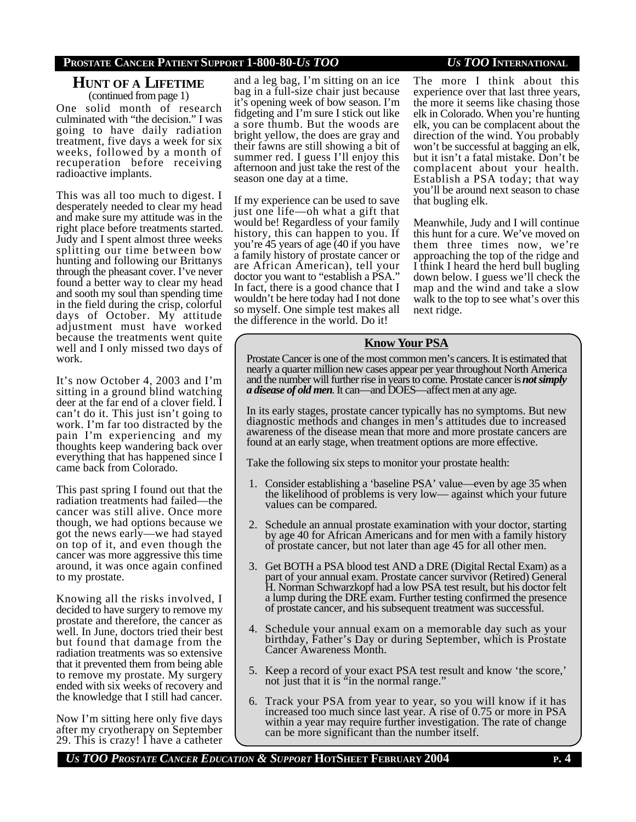## **HUNT OF A LIFETIME** (continued from page 1)

One solid month of research culminated with "the decision." I was going to have daily radiation treatment, five days a week for six weeks, followed by a month of recuperation before receiving radioactive implants.

This was all too much to digest. I desperately needed to clear my head and make sure my attitude was in the right place before treatments started. Judy and I spent almost three weeks splitting our time between bow hunting and following our Brittanys through the pheasant cover. I've never found a better way to clear my head and sooth my soul than spending time in the field during the crisp, colorful days of October. My attitude adjustment must have worked because the treatments went quite well and I only missed two days of work.

It's now October 4, 2003 and I'm sitting in a ground blind watching deer at the far end of a clover field. I can't do it. This just isn't going to work. I'm far too distracted by the pain I'm experiencing and my thoughts keep wandering back over everything that has happened since I came back from Colorado.

This past spring I found out that the radiation treatments had failed—the cancer was still alive. Once more though, we had options because we got the news early—we had stayed on top of it, and even though the cancer was more aggressive this time around, it was once again confined to my prostate.

Knowing all the risks involved, I decided to have surgery to remove my prostate and therefore, the cancer as well. In June, doctors tried their best but found that damage from the radiation treatments was so extensive that it prevented them from being able to remove my prostate. My surgery ended with six weeks of recovery and the knowledge that I still had cancer.

Now I'm sitting here only five days after my cryotherapy on September 29. This is crazy! I have a catheter

and a leg bag, I'm sitting on an ice bag in a full-size chair just because it's opening week of bow season. I'm fidgeting and I'm sure I stick out like a sore thumb. But the woods are bright yellow, the does are gray and their fawns are still showing a bit of summer red. I guess I'll enjoy this afternoon and just take the rest of the season one day at a time.

If my experience can be used to save just one life—oh what a gift that would be! Regardless of your family history, this can happen to you. If you're 45 years of age (40 if you have a family history of prostate cancer or are African American), tell your doctor you want to "establish a PSA." In fact, there is a good chance that I wouldn't be here today had I not done so myself. One simple test makes all the difference in the world. Do it!

The more I think about this experience over that last three years, the more it seems like chasing those elk in Colorado. When you're hunting elk, you can be complacent about the direction of the wind. You probably won't be successful at bagging an elk, but it isn't a fatal mistake. Don't be complacent about your health. Establish a PSA today; that way you'll be around next season to chase that bugling elk.

Meanwhile, Judy and I will continue this hunt for a cure. We've moved on them three times now, we're approaching the top of the ridge and I think I heard the herd bull bugling down below. I guess we'll check the map and the wind and take a slow walk to the top to see what's over this next ridge.

## **Know Your PSA**

Prostate Cancer is one of the most common men's cancers. It is estimated that nearly a quarter million new cases appear per year throughout North America and the number will further rise in years to come. Prostate cancer is *not simply a disease of old men*. It can—and DOES—affect men at any age.

In its early stages, prostate cancer typically has no symptoms. But new diagnostic methods and changes in men's attitudes due to increased awareness of the disease mean that more and more prostate cancers are found at an early stage, when treatment options are more effective.

Take the following six steps to monitor your prostate health:

- 1. Consider establishing a 'baseline PSA' value—even by age 35 when the likelihood of problems is very low— against which your future values can be compared.
- 2. Schedule an annual prostate examination with your doctor, starting by age 40 for African Americans and for men with a family history of prostate cancer, but not later than age 45 for all other men.
- 3. Get BOTH a PSA blood test AND a DRE (Digital Rectal Exam) as a part of your annual exam. Prostate cancer survivor (Retired) General H. Norman Schwarzkopf had a low PSA test result, but his doctor felt a lump during the DRE exam. Further testing confirmed the presence of prostate cancer, and his subsequent treatment was successful.
- 4. Schedule your annual exam on a memorable day such as your birthday, Father's Day or during September, which is Prostate Cancer Awareness Month.
- 5. Keep a record of your exact PSA test result and know 'the score,' not just that it is "in the normal range."
- 6. Track your PSA from year to year, so you will know if it has increased too much since last year. A rise of 0.75 or more in PSA within a year may require further investigation. The rate of change can be more significant than the number itself.

*US TOO PROSTATE CANCER EDUCATION & SUPPORT* **HOTSHEET FEBRUARY 2004 P. 4**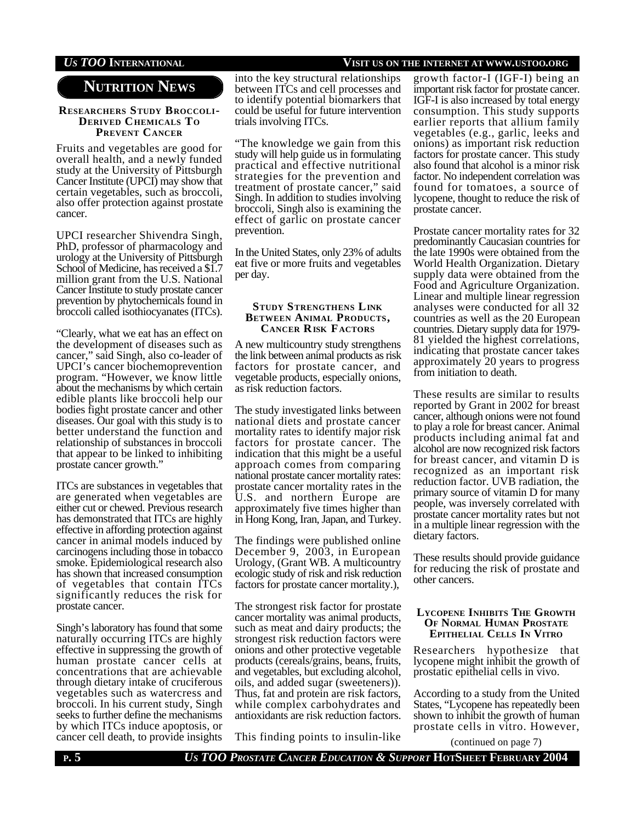## *US TOO* **INTERNATIONAL VISIT US ON THE INTERNET AT WWW.USTOO.ORG**

## **NUTRITION NEWS**

#### **RESEARCHERS STUDY BROCCOLI-DERIVED CHEMICALS TO PREVENT CANCER**

Fruits and vegetables are good for overall health, and a newly funded study at the University of Pittsburgh Cancer Institute (UPCI) may show that certain vegetables, such as broccoli, also offer protection against prostate cancer.

UPCI researcher Shivendra Singh, PhD, professor of pharmacology and urology at the University of Pittsburgh School of Medicine, has received a \$1.7 million grant from the U.S. National Cancer Institute to study prostate cancer prevention by phytochemicals found in broccoli called isothiocyanates (ITCs).

"Clearly, what we eat has an effect on the development of diseases such as cancer," said Singh, also co-leader of UPCI's cancer biochemoprevention program. "However, we know little about the mechanisms by which certain edible plants like broccoli help our bodies fight prostate cancer and other diseases. Our goal with this study is to better understand the function and relationship of substances in broccoli that appear to be linked to inhibiting prostate cancer growth."

ITCs are substances in vegetables that are generated when vegetables are either cut or chewed. Previous research has demonstrated that ITCs are highly effective in affording protection against cancer in animal models induced by carcinogens including those in tobacco smoke. Epidemiological research also has shown that increased consumption of vegetables that contain ITCs significantly reduces the risk for prostate cancer.

Singh's laboratory has found that some naturally occurring ITCs are highly effective in suppressing the growth of human prostate cancer cells at concentrations that are achievable through dietary intake of cruciferous vegetables such as watercress and broccoli. In his current study, Singh seeks to further define the mechanisms by which ITCs induce apoptosis, or cancer cell death, to provide insights

into the key structural relationships between ITCs and cell processes and to identify potential biomarkers that could be useful for future intervention trials involving ITCs.

"The knowledge we gain from this study will help guide us in formulating practical and effective nutritional strategies for the prevention and treatment of prostate cancer," said Singh. In addition to studies involving broccoli, Singh also is examining the effect of garlic on prostate cancer prevention.

In the United States, only 23% of adults eat five or more fruits and vegetables per day.

#### **STUDY STRENGTHENS LINK BETWEEN ANIMAL PRODUCTS, CANCER RISK FACTORS**

A new multicountry study strengthens the link between animal products as risk factors for prostate cancer, and vegetable products, especially onions, as risk reduction factors.

The study investigated links between national diets and prostate cancer mortality rates to identify major risk factors for prostate cancer. The indication that this might be a useful approach comes from comparing national prostate cancer mortality rates: prostate cancer mortality rates in the U.S. and northern Europe are approximately five times higher than in Hong Kong, Iran, Japan, and Turkey.

The findings were published online December 9, 2003, in European Urology, (Grant WB. A multicountry ecologic study of risk and risk reduction factors for prostate cancer mortality.),

The strongest risk factor for prostate cancer mortality was animal products, such as meat and dairy products; the strongest risk reduction factors were onions and other protective vegetable products (cereals/grains, beans, fruits, and vegetables, but excluding alcohol, oils, and added sugar (sweeteners)). Thus, fat and protein are risk factors, while complex carbohydrates and antioxidants are risk reduction factors.

This finding points to insulin-like

growth factor-I (IGF-I) being an important risk factor for prostate cancer. IGF-I is also increased by total energy consumption. This study supports earlier reports that allium family vegetables (e.g., garlic, leeks and onions) as important risk reduction factors for prostate cancer. This study also found that alcohol is a minor risk factor. No independent correlation was found for tomatoes, a source of lycopene, thought to reduce the risk of prostate cancer.

Prostate cancer mortality rates for 32 predominantly Caucasian countries for the late 1990s were obtained from the World Health Organization. Dietary supply data were obtained from the Food and Agriculture Organization. Linear and multiple linear regression analyses were conducted for all 32 countries as well as the 20 European countries. Dietary supply data for 1979- 81 yielded the highest correlations, indicating that prostate cancer takes approximately 20 years to progress from initiation to death.

These results are similar to results reported by Grant in 2002 for breast cancer, although onions were not found to play a role for breast cancer. Animal products including animal fat and alcohol are now recognized risk factors for breast cancer, and vitamin D is recognized as an important risk reduction factor. UVB radiation, the primary source of vitamin D for many people, was inversely correlated with prostate cancer mortality rates but not in a multiple linear regression with the dietary factors.

These results should provide guidance for reducing the risk of prostate and other cancers.

### **LYCOPENE INHIBITS THE GROWTH OF NORMAL HUMAN PROSTATE EPITHELIAL CELLS IN VITRO**

Researchers hypothesize that lycopene might inhibit the growth of prostatic epithelial cells in vivo.

According to a study from the United States, "Lycopene has repeatedly been shown to inhibit the growth of human prostate cells in vitro. However,

**P. 5** *US TOO PROSTATE CANCER EDUCATION & SUPPORT* **HOTSHEET FEBRUARY 2004** (continued on page 7)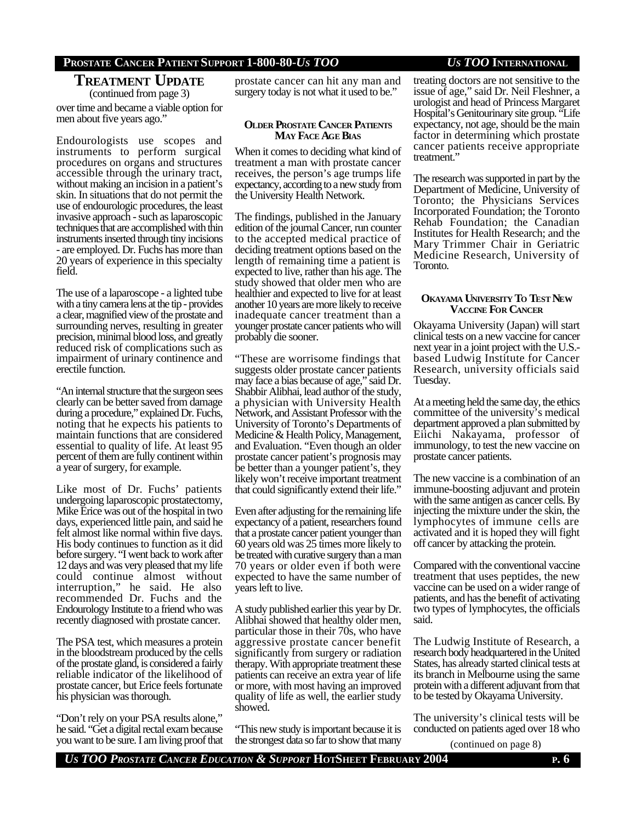# **TREATMENT UPDATE**

over time and became a viable option for men about five years ago." (continued from page 3)

Endourologists use scopes and instruments to perform surgical procedures on organs and structures accessible through the urinary tract, without making an incision in a patient's skin. In situations that do not permit the use of endourologic procedures, the least invasive approach - such as laparoscopic techniques that are accomplished with thin instruments inserted through tiny incisions - are employed. Dr. Fuchs has more than 20 years of experience in this specialty field.

The use of a laparoscope - a lighted tube with a tiny camera lens at the tip - provides a clear, magnified view of the prostate and surrounding nerves, resulting in greater precision, minimal blood loss, and greatly reduced risk of complications such as impairment of urinary continence and erectile function.

"An internal structure that the surgeon sees clearly can be better saved from damage during a procedure," explained Dr. Fuchs, noting that he expects his patients to maintain functions that are considered essential to quality of life. At least 95 percent of them are fully continent within a year of surgery, for example.

Like most of Dr. Fuchs' patients undergoing laparoscopic prostatectomy, Mike Erice was out of the hospital in two days, experienced little pain, and said he felt almost like normal within five days. His body continues to function as it did before surgery. "I went back to work after 12 days and was very pleased that my life could continue almost without interruption," he said. He also recommended Dr. Fuchs and the Endourology Institute to a friend who was recently diagnosed with prostate cancer.

The PSA test, which measures a protein in the bloodstream produced by the cells of the prostate gland, is considered a fairly reliable indicator of the likelihood of prostate cancer, but Erice feels fortunate his physician was thorough.

"Don't rely on your PSA results alone," he said. "Get a digital rectal exam because you want to be sure. I am living proof that

prostate cancer can hit any man and surgery today is not what it used to be."

#### **OLDER PROSTATE CANCER PATIENTS MAY FACE AGE BIAS**

When it comes to deciding what kind of treatment a man with prostate cancer receives, the person's age trumps life expectancy, according to a new study from the University Health Network.

The findings, published in the January edition of the journal Cancer, run counter to the accepted medical practice of deciding treatment options based on the length of remaining time a patient is expected to live, rather than his age. The study showed that older men who are healthier and expected to live for at least another 10 years are more likely to receive inadequate cancer treatment than a younger prostate cancer patients who will probably die sooner.

"These are worrisome findings that suggests older prostate cancer patients may face a bias because of age," said Dr. Shabbir Alibhai, lead author of the study, a physician with University Health Network, and Assistant Professor with the University of Toronto's Departments of Medicine & Health Policy, Management, and Evaluation. "Even though an older prostate cancer patient's prognosis may be better than a younger patient's, they likely won't receive important treatment that could significantly extend their life."

Even after adjusting for the remaining life expectancy of a patient, researchers found that a prostate cancer patient younger than 60 years old was 25 times more likely to be treated with curative surgery than a man 70 years or older even if both were expected to have the same number of years left to live.

A study published earlier this year by Dr. Alibhai showed that healthy older men, particular those in their 70s, who have aggressive prostate cancer benefit significantly from surgery or radiation therapy. With appropriate treatment these patients can receive an extra year of life or more, with most having an improved quality of life as well, the earlier study showed.

"This new study is important because it is the strongest data so far to show that many

## treating doctors are not sensitive to the issue of age," said Dr. Neil Fleshner, a urologist and head of Princess Margaret Hospital's Genitourinary site group. "Life expectancy, not age, should be the main

factor in determining which prostate cancer patients receive appropriate treatment." The research was supported in part by the Department of Medicine, University of

Toronto; the Physicians Services Incorporated Foundation; the Toronto Rehab Foundation; the Canadian Institutes for Health Research; and the Mary Trimmer Chair in Geriatric Medicine Research, University of Toronto.

### **OKAYAMA UNIVERSITY TO TEST NEW VACCINE FOR CANCER**

Okayama University (Japan) will start clinical tests on a new vaccine for cancer next year in a joint project with the U.S. based Ludwig Institute for Cancer Research, university officials said Tuesday.

At a meeting held the same day, the ethics committee of the university's medical department approved a plan submitted by Eiichi Nakayama, professor of immunology, to test the new vaccine on prostate cancer patients.

The new vaccine is a combination of an immune-boosting adjuvant and protein with the same antigen as cancer cells. By injecting the mixture under the skin, the lymphocytes of immune cells are activated and it is hoped they will fight off cancer by attacking the protein.

Compared with the conventional vaccine treatment that uses peptides, the new vaccine can be used on a wider range of patients, and has the benefit of activating two types of lymphocytes, the officials said.

The Ludwig Institute of Research, a research body headquartered in the United States, has already started clinical tests at its branch in Melbourne using the same protein with a different adjuvant from that to be tested by Okayama University.

The university's clinical tests will be conducted on patients aged over 18 who

(continued on page 8)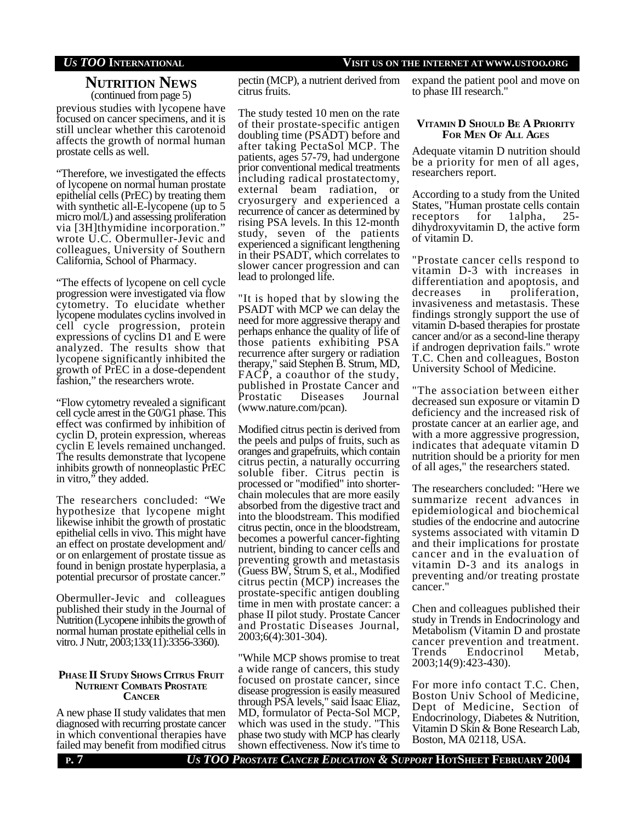## *US TOO* **INTERNATIONAL VISIT US ON THE INTERNET AT WWW.USTOO.ORG**

## **NUTRITION NEWS** (continued from page 5)

previous studies with lycopene have focused on cancer specimens, and it is still unclear whether this carotenoid affects the growth of normal human prostate cells as well.

"Therefore, we investigated the effects of lycopene on normal human prostate epithelial cells (PrEC) by treating them with synthetic all-E-lycopene (up to 5) micro mol/L) and assessing proliferation via [3H]thymidine incorporation." wrote U.C. Obermuller-Jevic and colleagues, University of Southern California, School of Pharmacy.

"The effects of lycopene on cell cycle progression were investigated via flow cytometry. To elucidate whether lycopene modulates cyclins involved in cell cycle progression, protein expressions of cyclins D1 and E were analyzed. The results show that lycopene significantly inhibited the growth of PrEC in a dose-dependent fashion," the researchers wrote.

"Flow cytometry revealed a significant cell cycle arrest in the G0/G1 phase. This effect was confirmed by inhibition of cyclin D, protein expression, whereas cyclin E levels remained unchanged. The results demonstrate that lycopene inhibits growth of nonneoplastic PrEC in vitro," they added.

The researchers concluded: "We hypothesize that lycopene might likewise inhibit the growth of prostatic epithelial cells in vivo. This might have an effect on prostate development and/ or on enlargement of prostate tissue as found in benign prostate hyperplasia, a potential precursor of prostate cancer."

Obermuller-Jevic and colleagues published their study in the Journal of Nutrition (Lycopene inhibits the growth of normal human prostate epithelial cells in vitro. J Nutr, 2003;133(11):3356-3360).

### **PHASE II STUDY SHOWS CITRUS FRUIT NUTRIENT COMBATS PROSTATE CANCER**

A new phase II study validates that men diagnosed with recurring prostate cancer in which conventional therapies have failed may benefit from modified citrus

pectin (MCP), a nutrient derived from citrus fruits.

The study tested 10 men on the rate of their prostate-specific antigen doubling time (PSADT) before and after taking PectaSol MCP. The patients, ages 57-79, had undergone prior conventional medical treatments including radical prostatectomy, external beam radiation, or cryosurgery and experienced a recurrence of cancer as determined by rising PSA levels. In this 12-month study, seven of the patients experienced a significant lengthening in their PSADT, which correlates to slower cancer progression and can lead to prolonged life.

"It is hoped that by slowing the PSADT with MCP we can delay the need for more aggressive therapy and perhaps enhance the quality of life of those patients exhibiting PSA recurrence after surgery or radiation therapy," said Stephen B. Strum, MD, FACP, a coauthor of the study, published in Prostate Cancer and Prostatic Diseases Journal (www.nature.com/pcan).

Modified citrus pectin is derived from the peels and pulps of fruits, such as oranges and grapefruits, which contain citrus pectin, a naturally occurring soluble fiber. Citrus pectin is processed or "modified" into shorterchain molecules that are more easily absorbed from the digestive tract and into the bloodstream. This modified citrus pectin, once in the bloodstream, becomes a powerful cancer-fighting nutrient, binding to cancer cells and preventing growth and metastasis (Guess BW, Strum S, et al., Modified citrus pectin (MCP) increases the prostate-specific antigen doubling time in men with prostate cancer: a phase II pilot study. Prostate Cancer and Prostatic Diseases Journal, 2003;6(4):301-304).

"While MCP shows promise to treat a wide range of cancers, this study focused on prostate cancer, since disease progression is easily measured through PSA levels," said Isaac Eliaz, MD, formulator of Pecta-Sol MCP, which was used in the study. "This phase two study with MCP has clearly shown effectiveness. Now it's time to

expand the patient pool and move on to phase III research."

### **VITAMIN D SHOULD BE A PRIORITY FOR MEN OF ALL AGES**

Adequate vitamin D nutrition should be a priority for men of all ages, researchers report.

According to a study from the United States, "Human prostate cells contain receptors for 1alpha, 25 dihydroxyvitamin D, the active form of vitamin D.

"Prostate cancer cells respond to vitamin D-3 with increases in differentiation and apoptosis, and decreases in proliferation, invasiveness and metastasis. These findings strongly support the use of vitamin D-based therapies for prostate cancer and/or as a second-line therapy if androgen deprivation fails." wrote T.C. Chen and colleagues, Boston University School of Medicine.

"The association between either decreased sun exposure or vitamin D deficiency and the increased risk of prostate cancer at an earlier age, and with a more aggressive progression, indicates that adequate vitamin D nutrition should be a priority for men of all ages," the researchers stated.

The researchers concluded: "Here we summarize recent advances in epidemiological and biochemical studies of the endocrine and autocrine systems associated with vitamin D and their implications for prostate cancer and in the evaluation of vitamin D-3 and its analogs in preventing and/or treating prostate cancer."

Chen and colleagues published their study in Trends in Endocrinology and Metabolism (Vitamin D and prostate cancer prevention and treatment. Trends Endocrinol Metab, 2003;14(9):423-430).

For more info contact T.C. Chen, Boston Univ School of Medicine, Dept of Medicine, Section of Endocrinology, Diabetes & Nutrition, Vitamin D Skin & Bone Research Lab, Boston, MA 02118, USA.